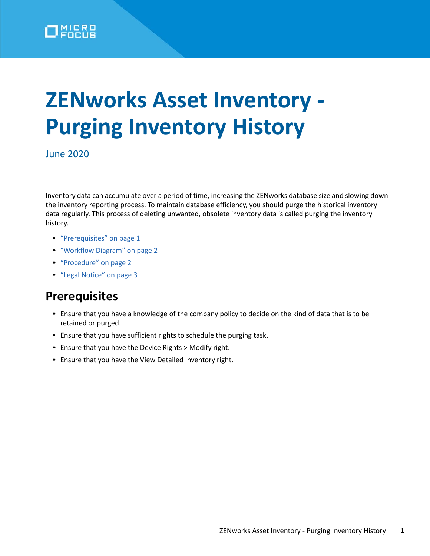

# **ZENworks Asset Inventory - Purging Inventory History**

June 2020

Inventory data can accumulate over a period of time, increasing the ZENworks database size and slowing down the inventory reporting process. To maintain database efficiency, you should purge the historical inventory data regularly. This process of deleting unwanted, obsolete inventory data is called purging the inventory history.

- ["Prerequisites" on page 1](#page-0-0)
- ["Workflow Diagram" on page 2](#page-1-0)
- ["Procedure" on page 2](#page-1-1)
- ["Legal Notice" on page 3](#page-2-0)

### <span id="page-0-0"></span>**Prerequisites**

- Ensure that you have a knowledge of the company policy to decide on the kind of data that is to be retained or purged.
- Ensure that you have sufficient rights to schedule the purging task.
- Ensure that you have the Device Rights > Modify right.
- Ensure that you have the View Detailed Inventory right.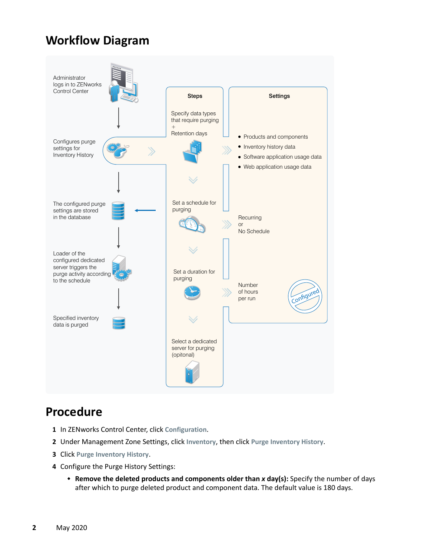## <span id="page-1-0"></span>**Workflow Diagram**



## <span id="page-1-1"></span>**Procedure**

- **1** In ZENworks Control Center, click **Configuration**.
- **2** Under Management Zone Settings, click **Inventory**, then click **Purge Inventory History**.
- **3** Click **Purge Inventory History**.
- **4** Configure the Purge History Settings:
	- **Remove the deleted products and components older than** *x* **day(s):** Specify the number of days after which to purge deleted product and component data. The default value is 180 days.